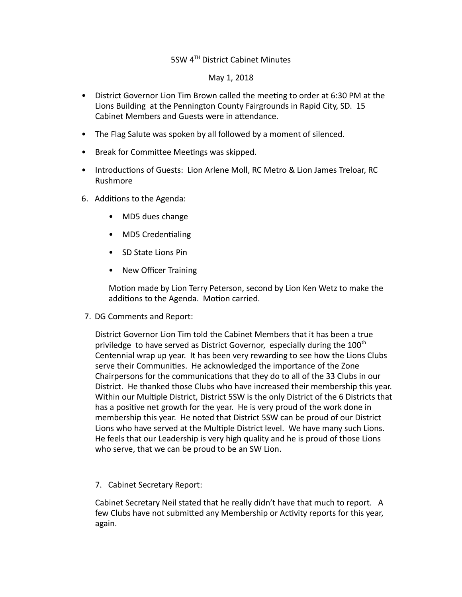## 5SW 4TH District Cabinet Minutes

May 1, 2018

- District Governor Lion Tim Brown called the meeting to order at 6:30 PM at the Lions Building at the Pennington County Fairgrounds in Rapid City, SD. 15 Cabinet Members and Guests were in attendance.
- The Flag Salute was spoken by all followed by a moment of silenced.
- Break for Committee Meetings was skipped.
- Introductions of Guests: Lion Arlene Moll, RC Metro & Lion James Treloar, RC Rushmore
- 6. Additions to the Agenda:
	- MD5 dues change
	- MD5 Credentialing
	- SD State Lions Pin
	- New Officer Training

Motion made by Lion Terry Peterson, second by Lion Ken Wetz to make the additions to the Agenda. Motion carried.

7. DG Comments and Report:

District Governor Lion Tim told the Cabinet Members that it has been a true priviledge to have served as District Governor, especially during the  $100<sup>th</sup>$ Centennial wrap up year. It has been very rewarding to see how the Lions Clubs serve their Communities. He acknowledged the importance of the Zone Chairpersons for the communications that they do to all of the 33 Clubs in our District. He thanked those Clubs who have increased their membership this year. Within our Multiple District, District 5SW is the only District of the 6 Districts that has a positive net growth for the year. He is very proud of the work done in membership this year. He noted that District 5SW can be proud of our District Lions who have served at the Multiple District level. We have many such Lions. He feels that our Leadership is very high quality and he is proud of those Lions who serve, that we can be proud to be an SW Lion.

7. Cabinet Secretary Report:

Cabinet Secretary Neil stated that he really didn't have that much to report. A few Clubs have not submitted any Membership or Activity reports for this year, again.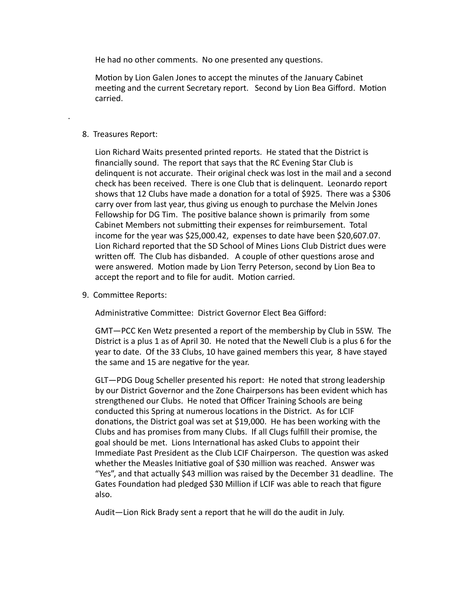He had no other comments. No one presented any questions.

Motion by Lion Galen Jones to accept the minutes of the January Cabinet meeting and the current Secretary report. Second by Lion Bea Gifford. Motion carried.

## 8. Treasures Report:

.

Lion Richard Waits presented printed reports. He stated that the District is financially sound. The report that says that the RC Evening Star Club is delinquent is not accurate. Their original check was lost in the mail and a second check has been received. There is one Club that is delinquent. Leonardo report shows that 12 Clubs have made a donation for a total of \$925. There was a \$306 carry over from last year, thus giving us enough to purchase the Melvin Jones Fellowship for DG Tim. The positive balance shown is primarily from some Cabinet Members not submitting their expenses for reimbursement. Total income for the year was \$25,000.42, expenses to date have been \$20,607.07. Lion Richard reported that the SD School of Mines Lions Club District dues were written off. The Club has disbanded. A couple of other questions arose and were answered. Motion made by Lion Terry Peterson, second by Lion Bea to accept the report and to file for audit. Motion carried.

9. Committee Reports:

Administrative Committee: District Governor Elect Bea Gifford:

GMT—PCC Ken Wetz presented a report of the membership by Club in 5SW. The District is a plus 1 as of April 30. He noted that the Newell Club is a plus 6 for the year to date. Of the 33 Clubs, 10 have gained members this year, 8 have stayed the same and 15 are negative for the year.

GLT—PDG Doug Scheller presented his report: He noted that strong leadership by our District Governor and the Zone Chairpersons has been evident which has strengthened our Clubs. He noted that Officer Training Schools are being conducted this Spring at numerous locations in the District. As for LCIF donations, the District goal was set at \$19,000. He has been working with the Clubs and has promises from many Clubs. If all Clugs fulfill their promise, the goal should be met. Lions International has asked Clubs to appoint their Immediate Past President as the Club LCIF Chairperson. The question was asked whether the Measles Initiative goal of \$30 million was reached. Answer was "Yes", and that actually \$43 million was raised by the December 31 deadline. The Gates Foundation had pledged \$30 Million if LCIF was able to reach that figure also.

Audit—Lion Rick Brady sent a report that he will do the audit in July.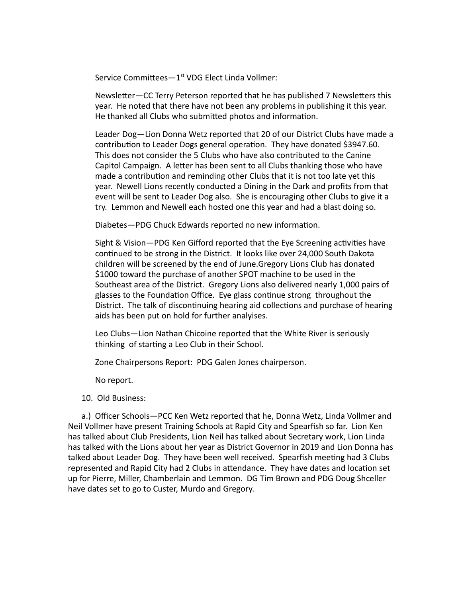Service Committees-1<sup>st</sup> VDG Elect Linda Vollmer:

Newsletter—CC Terry Peterson reported that he has published 7 Newsletters this year. He noted that there have not been any problems in publishing it this year. He thanked all Clubs who submitted photos and information.

Leader Dog—Lion Donna Wetz reported that 20 of our District Clubs have made a contribution to Leader Dogs general operation. They have donated \$3947.60. This does not consider the 5 Clubs who have also contributed to the Canine Capitol Campaign. A letter has been sent to all Clubs thanking those who have made a contribution and reminding other Clubs that it is not too late yet this year. Newell Lions recently conducted a Dining in the Dark and profits from that event will be sent to Leader Dog also. She is encouraging other Clubs to give it a try. Lemmon and Newell each hosted one this year and had a blast doing so.

Diabetes—PDG Chuck Edwards reported no new information.

Sight & Vision—PDG Ken Gifford reported that the Eye Screening activities have continued to be strong in the District. It looks like over 24,000 South Dakota children will be screened by the end of June.Gregory Lions Club has donated \$1000 toward the purchase of another SPOT machine to be used in the Southeast area of the District. Gregory Lions also delivered nearly 1,000 pairs of glasses to the Foundation Office. Eye glass continue strong throughout the District. The talk of discontinuing hearing aid collections and purchase of hearing aids has been put on hold for further analyises.

Leo Clubs—Lion Nathan Chicoine reported that the White River is seriously thinking of starting a Leo Club in their School.

Zone Chairpersons Report: PDG Galen Jones chairperson.

No report.

## 10. Old Business:

a.) Officer Schools—PCC Ken Wetz reported that he, Donna Wetz, Linda Vollmer and Neil Vollmer have present Training Schools at Rapid City and Spearfish so far. Lion Ken has talked about Club Presidents, Lion Neil has talked about Secretary work, Lion Linda has talked with the Lions about her year as District Governor in 2019 and Lion Donna has talked about Leader Dog. They have been well received. Spearfish meeting had 3 Clubs represented and Rapid City had 2 Clubs in attendance. They have dates and location set up for Pierre, Miller, Chamberlain and Lemmon. DG Tim Brown and PDG Doug Shceller have dates set to go to Custer, Murdo and Gregory.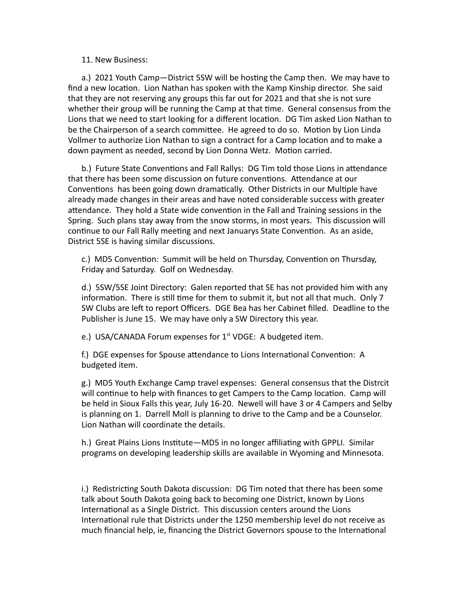## 11. New Business:

a.) 2021 Youth Camp—District 5SW will be hosting the Camp then. We may have to find a new location. Lion Nathan has spoken with the Kamp Kinship director. She said that they are not reserving any groups this far out for 2021 and that she is not sure whether their group will be running the Camp at that time. General consensus from the Lions that we need to start looking for a different location. DG Tim asked Lion Nathan to be the Chairperson of a search committee. He agreed to do so. Motion by Lion Linda Vollmer to authorize Lion Nathan to sign a contract for a Camp location and to make a down payment as needed, second by Lion Donna Wetz. Motion carried.

b.) Future State Conventions and Fall Rallys: DG Tim told those Lions in attendance that there has been some discussion on future conventions. Attendance at our Conventions has been going down dramatically. Other Districts in our Multiple have already made changes in their areas and have noted considerable success with greater attendance. They hold a State wide convention in the Fall and Training sessions in the Spring. Such plans stay away from the snow storms, in most years. This discussion will continue to our Fall Rally meeting and next Januarys State Convention. As an aside, District 5SE is having similar discussions.

c.) MD5 Convention: Summit will be held on Thursday, Convention on Thursday, Friday and Saturday. Golf on Wednesday.

d.) 5SW/5SE Joint Directory: Galen reported that SE has not provided him with any information. There is still time for them to submit it, but not all that much. Only 7 SW Clubs are left to report Officers. DGE Bea has her Cabinet filled. Deadline to the Publisher is June 15. We may have only a SW Directory this year.

e.) USA/CANADA Forum expenses for  $1<sup>st</sup>$  VDGE: A budgeted item.

f.) DGE expenses for Spouse attendance to Lions International Convention: A budgeted item.

g.) MD5 Youth Exchange Camp travel expenses: General consensus that the Distrcit will continue to help with finances to get Campers to the Camp location. Camp will be held in Sioux Falls this year, July 16-20. Newell will have 3 or 4 Campers and Selby is planning on 1. Darrell Moll is planning to drive to the Camp and be a Counselor. Lion Nathan will coordinate the details.

h.) Great Plains Lions Institute—MD5 in no longer affiliating with GPPLI. Similar programs on developing leadership skills are available in Wyoming and Minnesota.

i.) Redistricting South Dakota discussion: DG Tim noted that there has been some talk about South Dakota going back to becoming one District, known by Lions International as a Single District. This discussion centers around the Lions International rule that Districts under the 1250 membership level do not receive as much financial help, ie, financing the District Governors spouse to the International